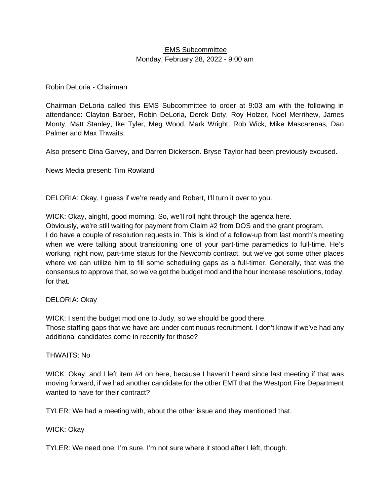## EMS Subcommittee Monday, February 28, 2022 - 9:00 am

## Robin DeLoria - Chairman

Chairman DeLoria called this EMS Subcommittee to order at 9:03 am with the following in attendance: Clayton Barber, Robin DeLoria, Derek Doty, Roy Holzer, Noel Merrihew, James Monty, Matt Stanley, Ike Tyler, Meg Wood, Mark Wright, Rob Wick, Mike Mascarenas, Dan Palmer and Max Thwaits.

Also present: Dina Garvey, and Darren Dickerson. Bryse Taylor had been previously excused.

News Media present: Tim Rowland

DELORIA: Okay, I guess if we're ready and Robert, I'll turn it over to you.

WICK: Okay, alright, good morning. So, we'll roll right through the agenda here.

Obviously, we're still waiting for payment from Claim #2 from DOS and the grant program.

I do have a couple of resolution requests in. This is kind of a follow-up from last month's meeting when we were talking about transitioning one of your part-time paramedics to full-time. He's working, right now, part-time status for the Newcomb contract, but we've got some other places where we can utilize him to fill some scheduling gaps as a full-timer. Generally, that was the consensus to approve that, so we've got the budget mod and the hour increase resolutions, today, for that.

## DELORIA: Okay

WICK: I sent the budget mod one to Judy, so we should be good there.

Those staffing gaps that we have are under continuous recruitment. I don't know if we've had any additional candidates come in recently for those?

#### THWAITS: No

WICK: Okay, and I left item #4 on here, because I haven't heard since last meeting if that was moving forward, if we had another candidate for the other EMT that the Westport Fire Department wanted to have for their contract?

TYLER: We had a meeting with, about the other issue and they mentioned that.

## WICK: Okay

TYLER: We need one, I'm sure. I'm not sure where it stood after I left, though.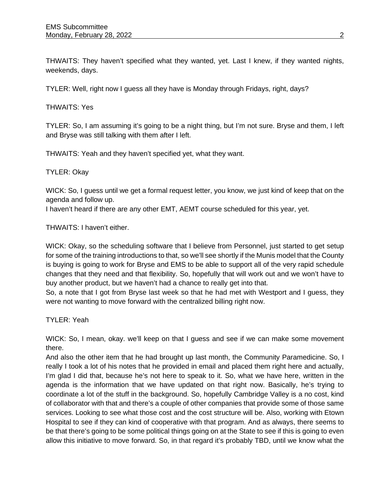THWAITS: They haven't specified what they wanted, yet. Last I knew, if they wanted nights, weekends, days.

TYLER: Well, right now I guess all they have is Monday through Fridays, right, days?

## THWAITS: Yes

TYLER: So, I am assuming it's going to be a night thing, but I'm not sure. Bryse and them, I left and Bryse was still talking with them after I left.

THWAITS: Yeah and they haven't specified yet, what they want.

## TYLER: Okay

WICK: So, I guess until we get a formal request letter, you know, we just kind of keep that on the agenda and follow up.

I haven't heard if there are any other EMT, AEMT course scheduled for this year, yet.

THWAITS: I haven't either.

WICK: Okay, so the scheduling software that I believe from Personnel, just started to get setup for some of the training introductions to that, so we'll see shortly if the Munis model that the County is buying is going to work for Bryse and EMS to be able to support all of the very rapid schedule changes that they need and that flexibility. So, hopefully that will work out and we won't have to buy another product, but we haven't had a chance to really get into that.

So, a note that I got from Bryse last week so that he had met with Westport and I guess, they were not wanting to move forward with the centralized billing right now.

TYLER: Yeah

WICK: So, I mean, okay. we'll keep on that I guess and see if we can make some movement there.

And also the other item that he had brought up last month, the Community Paramedicine. So, I really I took a lot of his notes that he provided in email and placed them right here and actually, I'm glad I did that, because he's not here to speak to it. So, what we have here, written in the agenda is the information that we have updated on that right now. Basically, he's trying to coordinate a lot of the stuff in the background. So, hopefully Cambridge Valley is a no cost, kind of collaborator with that and there's a couple of other companies that provide some of those same services. Looking to see what those cost and the cost structure will be. Also, working with Etown Hospital to see if they can kind of cooperative with that program. And as always, there seems to be that there's going to be some political things going on at the State to see if this is going to even allow this initiative to move forward. So, in that regard it's probably TBD, until we know what the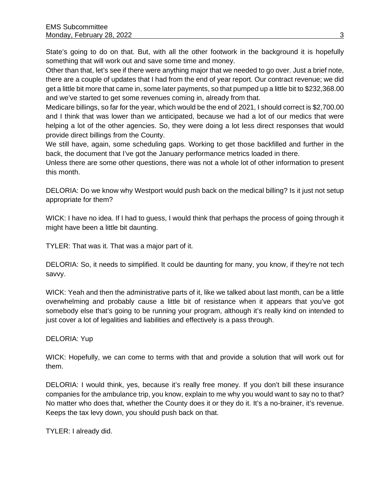State's going to do on that. But, with all the other footwork in the background it is hopefully something that will work out and save some time and money.

Other than that, let's see if there were anything major that we needed to go over. Just a brief note, there are a couple of updates that I had from the end of year report. Our contract revenue; we did get a little bit more that came in, some later payments, so that pumped up a little bit to \$232,368.00 and we've started to get some revenues coming in, already from that.

Medicare billings, so far for the year, which would be the end of 2021, I should correct is \$2,700.00 and I think that was lower than we anticipated, because we had a lot of our medics that were helping a lot of the other agencies. So, they were doing a lot less direct responses that would provide direct billings from the County.

We still have, again, some scheduling gaps. Working to get those backfilled and further in the back, the document that I've got the January performance metrics loaded in there.

Unless there are some other questions, there was not a whole lot of other information to present this month.

DELORIA: Do we know why Westport would push back on the medical billing? Is it just not setup appropriate for them?

WICK: I have no idea. If I had to guess, I would think that perhaps the process of going through it might have been a little bit daunting.

TYLER: That was it. That was a major part of it.

DELORIA: So, it needs to simplified. It could be daunting for many, you know, if they're not tech savvy.

WICK: Yeah and then the administrative parts of it, like we talked about last month, can be a little overwhelming and probably cause a little bit of resistance when it appears that you've got somebody else that's going to be running your program, although it's really kind on intended to just cover a lot of legalities and liabilities and effectively is a pass through.

DELORIA: Yup

WICK: Hopefully, we can come to terms with that and provide a solution that will work out for them.

DELORIA: I would think, yes, because it's really free money. If you don't bill these insurance companies for the ambulance trip, you know, explain to me why you would want to say no to that? No matter who does that, whether the County does it or they do it. It's a no-brainer, it's revenue. Keeps the tax levy down, you should push back on that.

TYLER: I already did.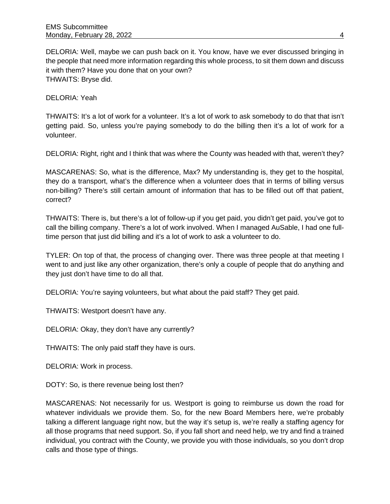DELORIA: Well, maybe we can push back on it. You know, have we ever discussed bringing in the people that need more information regarding this whole process, to sit them down and discuss it with them? Have you done that on your own? THWAITS: Bryse did.

DELORIA: Yeah

THWAITS: It's a lot of work for a volunteer. It's a lot of work to ask somebody to do that that isn't getting paid. So, unless you're paying somebody to do the billing then it's a lot of work for a volunteer.

DELORIA: Right, right and I think that was where the County was headed with that, weren't they?

MASCARENAS: So, what is the difference, Max? My understanding is, they get to the hospital, they do a transport, what's the difference when a volunteer does that in terms of billing versus non-billing? There's still certain amount of information that has to be filled out off that patient, correct?

THWAITS: There is, but there's a lot of follow-up if you get paid, you didn't get paid, you've got to call the billing company. There's a lot of work involved. When I managed AuSable, I had one fulltime person that just did billing and it's a lot of work to ask a volunteer to do.

TYLER: On top of that, the process of changing over. There was three people at that meeting I went to and just like any other organization, there's only a couple of people that do anything and they just don't have time to do all that.

DELORIA: You're saying volunteers, but what about the paid staff? They get paid.

THWAITS: Westport doesn't have any.

DELORIA: Okay, they don't have any currently?

THWAITS: The only paid staff they have is ours.

DELORIA: Work in process.

DOTY: So, is there revenue being lost then?

MASCARENAS: Not necessarily for us. Westport is going to reimburse us down the road for whatever individuals we provide them. So, for the new Board Members here, we're probably talking a different language right now, but the way it's setup is, we're really a staffing agency for all those programs that need support. So, if you fall short and need help, we try and find a trained individual, you contract with the County, we provide you with those individuals, so you don't drop calls and those type of things.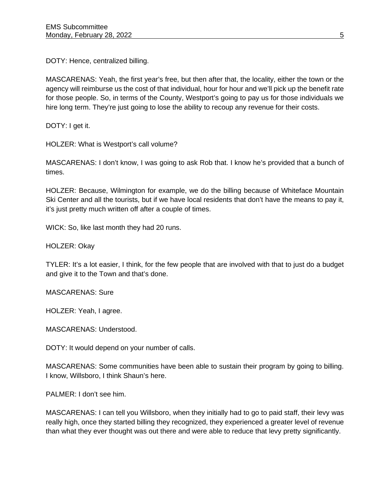DOTY: Hence, centralized billing.

MASCARENAS: Yeah, the first year's free, but then after that, the locality, either the town or the agency will reimburse us the cost of that individual, hour for hour and we'll pick up the benefit rate for those people. So, in terms of the County, Westport's going to pay us for those individuals we hire long term. They're just going to lose the ability to recoup any revenue for their costs.

DOTY: I get it.

HOLZER: What is Westport's call volume?

MASCARENAS: I don't know, I was going to ask Rob that. I know he's provided that a bunch of times.

HOLZER: Because, Wilmington for example, we do the billing because of Whiteface Mountain Ski Center and all the tourists, but if we have local residents that don't have the means to pay it, it's just pretty much written off after a couple of times.

WICK: So, like last month they had 20 runs.

HOLZER: Okay

TYLER: It's a lot easier, I think, for the few people that are involved with that to just do a budget and give it to the Town and that's done.

MASCARENAS: Sure

HOLZER: Yeah, I agree.

MASCARENAS: Understood.

DOTY: It would depend on your number of calls.

MASCARENAS: Some communities have been able to sustain their program by going to billing. I know, Willsboro, I think Shaun's here.

PALMER: I don't see him.

MASCARENAS: I can tell you Willsboro, when they initially had to go to paid staff, their levy was really high, once they started billing they recognized, they experienced a greater level of revenue than what they ever thought was out there and were able to reduce that levy pretty significantly.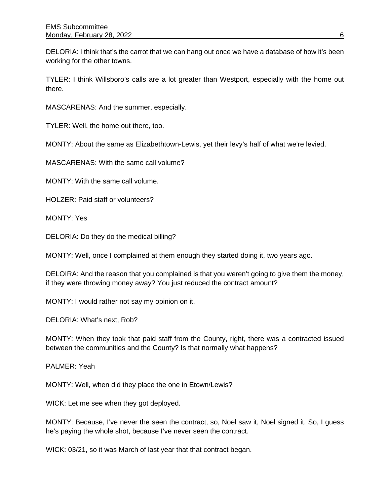DELORIA: I think that's the carrot that we can hang out once we have a database of how it's been working for the other towns.

TYLER: I think Willsboro's calls are a lot greater than Westport, especially with the home out there.

MASCARENAS: And the summer, especially.

TYLER: Well, the home out there, too.

MONTY: About the same as Elizabethtown-Lewis, yet their levy's half of what we're levied.

MASCARENAS: With the same call volume?

MONTY: With the same call volume.

HOLZER: Paid staff or volunteers?

MONTY: Yes

DELORIA: Do they do the medical billing?

MONTY: Well, once I complained at them enough they started doing it, two years ago.

DELOIRA: And the reason that you complained is that you weren't going to give them the money, if they were throwing money away? You just reduced the contract amount?

MONTY: I would rather not say my opinion on it.

DELORIA: What's next, Rob?

MONTY: When they took that paid staff from the County, right, there was a contracted issued between the communities and the County? Is that normally what happens?

PALMER: Yeah

MONTY: Well, when did they place the one in Etown/Lewis?

WICK: Let me see when they got deployed.

MONTY: Because, I've never the seen the contract, so, Noel saw it, Noel signed it. So, I guess he's paying the whole shot, because I've never seen the contract.

WICK: 03/21, so it was March of last year that that contract began.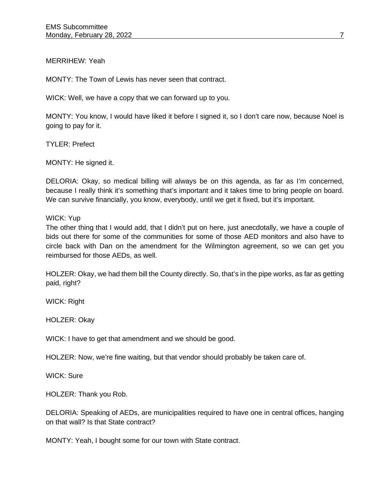## MERRIHEW: Yeah

MONTY: The Town of Lewis has never seen that contract.

WICK: Well, we have a copy that we can forward up to you.

MONTY: You know, I would have liked it before I signed it, so I don't care now, because Noel is going to pay for it.

TYLER: Prefect

MONTY: He signed it.

DELORIA: Okay, so medical billing will always be on this agenda, as far as I'm concerned, because I really think it's something that's important and it takes time to bring people on board. We can survive financially, you know, everybody, until we get it fixed, but it's important.

#### WICK: Yup

The other thing that I would add, that I didn't put on here, just anecdotally, we have a couple of bids out there for some of the communities for some of those AED monitors and also have to circle back with Dan on the amendment for the Wilmington agreement, so we can get you reimbursed for those AEDs, as well.

HOLZER: Okay, we had them bill the County directly. So, that's in the pipe works, as far as getting paid, right?

WICK: Right

HOLZER: Okay

WICK: I have to get that amendment and we should be good.

HOLZER: Now, we're fine waiting, but that vendor should probably be taken care of.

WICK: Sure

HOLZER: Thank you Rob.

DELORIA: Speaking of AEDs, are municipalities required to have one in central offices, hanging on that wall? Is that State contract?

MONTY: Yeah, I bought some for our town with State contract.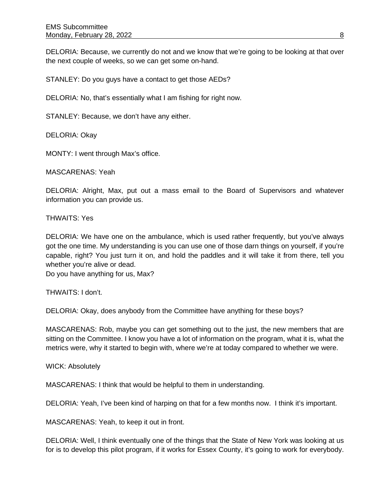DELORIA: Because, we currently do not and we know that we're going to be looking at that over the next couple of weeks, so we can get some on-hand.

STANLEY: Do you guys have a contact to get those AEDs?

DELORIA: No, that's essentially what I am fishing for right now.

STANLEY: Because, we don't have any either.

DELORIA: Okay

MONTY: I went through Max's office.

MASCARENAS: Yeah

DELORIA: Alright, Max, put out a mass email to the Board of Supervisors and whatever information you can provide us.

THWAITS: Yes

DELORIA: We have one on the ambulance, which is used rather frequently, but you've always got the one time. My understanding is you can use one of those darn things on yourself, if you're capable, right? You just turn it on, and hold the paddles and it will take it from there, tell you whether you're alive or dead.

Do you have anything for us, Max?

THWAITS: I don't.

DELORIA: Okay, does anybody from the Committee have anything for these boys?

MASCARENAS: Rob, maybe you can get something out to the just, the new members that are sitting on the Committee. I know you have a lot of information on the program, what it is, what the metrics were, why it started to begin with, where we're at today compared to whether we were.

WICK: Absolutely

MASCARENAS: I think that would be helpful to them in understanding.

DELORIA: Yeah, I've been kind of harping on that for a few months now. I think it's important.

MASCARENAS: Yeah, to keep it out in front.

DELORIA: Well, I think eventually one of the things that the State of New York was looking at us for is to develop this pilot program, if it works for Essex County, it's going to work for everybody.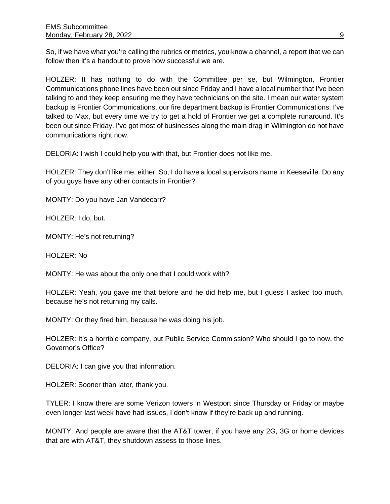So, if we have what you're calling the rubrics or metrics, you know a channel, a report that we can follow then it's a handout to prove how successful we are.

HOLZER: It has nothing to do with the Committee per se, but Wilmington, Frontier Communications phone lines have been out since Friday and I have a local number that I've been talking to and they keep ensuring me they have technicians on the site. I mean our water system backup is Frontier Communications, our fire department backup is Frontier Communications. I've talked to Max, but every time we try to get a hold of Frontier we get a complete runaround. It's been out since Friday. I've got most of businesses along the main drag in Wilmington do not have communications right now.

DELORIA: I wish I could help you with that, but Frontier does not like me.

HOLZER: They don't like me, either. So, I do have a local supervisors name in Keeseville. Do any of you guys have any other contacts in Frontier?

MONTY: Do you have Jan Vandecarr?

HOLZER: I do, but.

MONTY: He's not returning?

HOLZER: No

MONTY: He was about the only one that I could work with?

HOLZER: Yeah, you gave me that before and he did help me, but I guess I asked too much, because he's not returning my calls.

MONTY: Or they fired him, because he was doing his job.

HOLZER: It's a horrible company, but Public Service Commission? Who should I go to now, the Governor's Office?

DELORIA: I can give you that information.

HOLZER: Sooner than later, thank you.

TYLER: I know there are some Verizon towers in Westport since Thursday or Friday or maybe even longer last week have had issues, I don't know if they're back up and running.

MONTY: And people are aware that the AT&T tower, if you have any 2G, 3G or home devices that are with AT&T, they shutdown assess to those lines.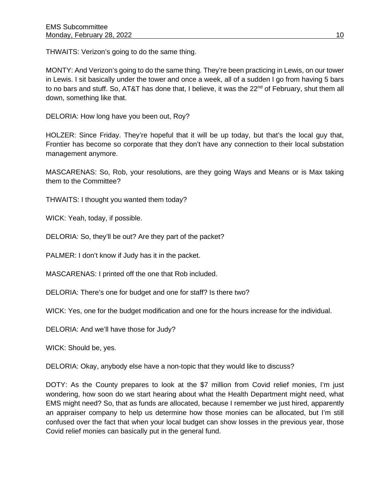THWAITS: Verizon's going to do the same thing.

MONTY: And Verizon's going to do the same thing. They're been practicing in Lewis, on our tower in Lewis. I sit basically under the tower and once a week, all of a sudden I go from having 5 bars to no bars and stuff. So, AT&T has done that, I believe, it was the 22<sup>nd</sup> of February, shut them all down, something like that.

DELORIA: How long have you been out, Roy?

HOLZER: Since Friday. They're hopeful that it will be up today, but that's the local guy that, Frontier has become so corporate that they don't have any connection to their local substation management anymore.

MASCARENAS: So, Rob, your resolutions, are they going Ways and Means or is Max taking them to the Committee?

THWAITS: I thought you wanted them today?

WICK: Yeah, today, if possible.

DELORIA: So, they'll be out? Are they part of the packet?

PALMER: I don't know if Judy has it in the packet.

MASCARENAS: I printed off the one that Rob included.

DELORIA: There's one for budget and one for staff? Is there two?

WICK: Yes, one for the budget modification and one for the hours increase for the individual.

DELORIA: And we'll have those for Judy?

WICK: Should be, yes.

DELORIA: Okay, anybody else have a non-topic that they would like to discuss?

DOTY: As the County prepares to look at the \$7 million from Covid relief monies, I'm just wondering, how soon do we start hearing about what the Health Department might need, what EMS might need? So, that as funds are allocated, because I remember we just hired, apparently an appraiser company to help us determine how those monies can be allocated, but I'm still confused over the fact that when your local budget can show losses in the previous year, those Covid relief monies can basically put in the general fund.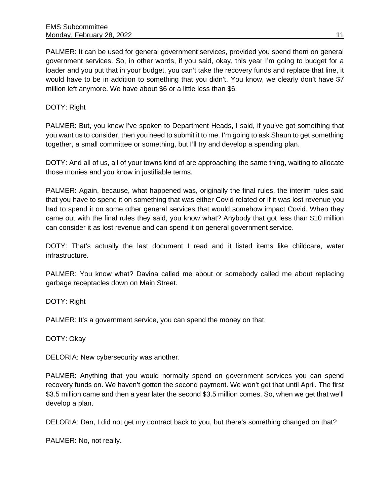PALMER: It can be used for general government services, provided you spend them on general government services. So, in other words, if you said, okay, this year I'm going to budget for a loader and you put that in your budget, you can't take the recovery funds and replace that line, it would have to be in addition to something that you didn't. You know, we clearly don't have \$7 million left anymore. We have about \$6 or a little less than \$6.

DOTY: Right

PALMER: But, you know I've spoken to Department Heads, I said, if you've got something that you want us to consider, then you need to submit it to me. I'm going to ask Shaun to get something together, a small committee or something, but I'll try and develop a spending plan.

DOTY: And all of us, all of your towns kind of are approaching the same thing, waiting to allocate those monies and you know in justifiable terms.

PALMER: Again, because, what happened was, originally the final rules, the interim rules said that you have to spend it on something that was either Covid related or if it was lost revenue you had to spend it on some other general services that would somehow impact Covid. When they came out with the final rules they said, you know what? Anybody that got less than \$10 million can consider it as lost revenue and can spend it on general government service.

DOTY: That's actually the last document I read and it listed items like childcare, water infrastructure.

PALMER: You know what? Davina called me about or somebody called me about replacing garbage receptacles down on Main Street.

DOTY: Right

PALMER: It's a government service, you can spend the money on that.

DOTY: Okay

DELORIA: New cybersecurity was another.

PALMER: Anything that you would normally spend on government services you can spend recovery funds on. We haven't gotten the second payment. We won't get that until April. The first \$3.5 million came and then a year later the second \$3.5 million comes. So, when we get that we'll develop a plan.

DELORIA: Dan, I did not get my contract back to you, but there's something changed on that?

PALMER: No, not really.